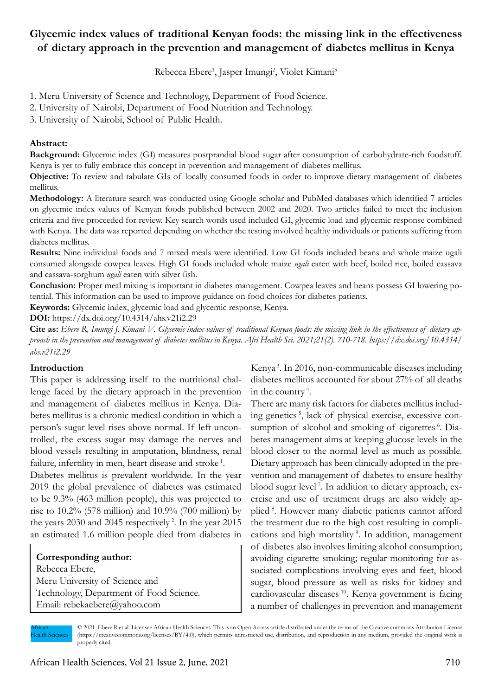# **Glycemic index values of traditional Kenyan foods: the missing link in the effectiveness of dietary approach in the prevention and management of diabetes mellitus in Kenya**

Rebecca Ebere<sup>1</sup>, Jasper Imungi<sup>2</sup>, Violet Kimani<sup>3</sup>

1. Meru University of Science and Technology, Department of Food Science.

2. University of Nairobi, Department of Food Nutrition and Technology.

3. University of Nairobi, School of Public Health.

## **Abstract:**

**Background:** Glycemic index (GI) measures postprandial blood sugar after consumption of carbohydrate-rich foodstuff. Kenya is yet to fully embrace this concept in prevention and management of diabetes mellitus.

**Objective:** To review and tabulate GIs of locally consumed foods in order to improve dietary management of diabetes mellitus.

**Methodology:** A literature search was conducted using Google scholar and PubMed databases which identified 7 articles on glycemic index values of Kenyan foods published between 2002 and 2020. Two articles failed to meet the inclusion criteria and five proceeded for review. Key search words used included GI, glycemic load and glycemic response combined with Kenya. The data was reported depending on whether the testing involved healthy individuals or patients suffering from diabetes mellitus.

**Results:** Nine individual foods and 7 mixed meals were identified. Low GI foods included beans and whole maize ugali consumed alongside cowpea leaves. High GI foods included whole maize *ugali* eaten with beef, boiled rice, boiled cassava and cassava-sorghum *ugali* eaten with silver fish.

**Conclusion:** Proper meal mixing is important in diabetes management. Cowpea leaves and beans possess GI lowering potential. This information can be used to improve guidance on food choices for diabetes patients.

**Keywords:** Glycemic index, glycemic load and glycemic response, Kenya.

**DOI:** https://dx.doi.org/10.4314/ahs.v21i2.29

Cite as: Ebere R, Imungi J, Kimani V. Glycemic index values of traditional Kenyan foods: the missing link in the effectiveness of dietary ap*proach in the prevention and management of diabetes mellitus in Kenya. Afri Health Sci. 2021;21(2). 710-718. https://dx.doi.org/10.4314/ ahs.v21i2.29*

### **Introduction**

This paper is addressing itself to the nutritional challenge faced by the dietary approach in the prevention and management of diabetes mellitus in Kenya. Diabetes mellitus is a chronic medical condition in which a person's sugar level rises above normal. If left uncontrolled, the excess sugar may damage the nerves and blood vessels resulting in amputation, blindness, renal failure, infertility in men, heart disease and stroke<sup>1</sup>.

Diabetes mellitus is prevalent worldwide. In the year 2019 the global prevalence of diabetes was estimated to be 9.3% (463 million people), this was projected to rise to 10.2% (578 million) and 10.9% (700 million) by the years 2030 and 2045 respectively<sup>2</sup>. In the year 2015 an estimated 1.6 million people died from diabetes in

### **Corresponding author:**

Rebecca Ebere, Meru University of Science and Technology, Department of Food Science. Email: rebekaebere@yahoo.com

Kenya 3. In 2016, non-communicable diseases including diabetes mellitus accounted for about 27% of all deaths in the country<sup>4</sup>.

There are many risk factors for diabetes mellitus including genetics 5, lack of physical exercise, excessive consumption of alcohol and smoking of cigarettes <sup>6</sup>. Diabetes management aims at keeping glucose levels in the blood closer to the normal level as much as possible. Dietary approach has been clinically adopted in the prevention and management of diabetes to ensure healthy blood sugar level 7. In addition to dietary approach, exercise and use of treatment drugs are also widely applied<sup>8</sup>. However many diabetic patients cannot afford the treatment due to the high cost resulting in complications and high mortality<sup>9</sup>. In addition, management of diabetes also involves limiting alcohol consumption; avoiding cigarette smoking; regular monitoring for associated complications involving eyes and feet, blood sugar, blood pressure as well as risks for kidney and cardiovascular diseases 10. Kenya government is facing a number of challenges in prevention and management

African **Iealth Sciences**  © 2021 Ebere R et al. Licensee African Health Sciences. This is an Open Access article distributed under the terms of the Creative commons Attribution License (https://creativecommons.org/licenses/BY/4.0), which permits unrestricted use, distribution, and reproduction in any medium, provided the original work is properly cited.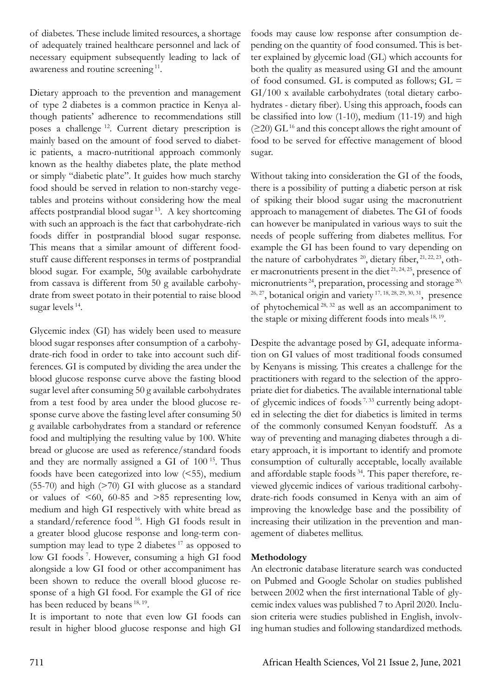of diabetes. These include limited resources, a shortage of adequately trained healthcare personnel and lack of necessary equipment subsequently leading to lack of awareness and routine screening 11.

Dietary approach to the prevention and management of type 2 diabetes is a common practice in Kenya although patients' adherence to recommendations still poses a challenge 12. Current dietary prescription is mainly based on the amount of food served to diabetic patients, a macro-nutritional approach commonly known as the healthy diabetes plate, the plate method or simply "diabetic plate". It guides how much starchy food should be served in relation to non-starchy vegetables and proteins without considering how the meal affects postprandial blood sugar 13. A key shortcoming with such an approach is the fact that carbohydrate-rich foods differ in postprandial blood sugar response. This means that a similar amount of different foodstuff cause different responses in terms of postprandial blood sugar. For example, 50g available carbohydrate from cassava is different from 50 g available carbohydrate from sweet potato in their potential to raise blood sugar levels 14.

Glycemic index (GI) has widely been used to measure blood sugar responses after consumption of a carbohydrate-rich food in order to take into account such differences. GI is computed by dividing the area under the blood glucose response curve above the fasting blood sugar level after consuming 50 g available carbohydrates from a test food by area under the blood glucose response curve above the fasting level after consuming 50 g available carbohydrates from a standard or reference food and multiplying the resulting value by 100. White bread or glucose are used as reference/standard foods and they are normally assigned a GI of 100 15. Thus foods have been categorized into low (<55), medium (55-70) and high (>70) GI with glucose as a standard or values of  $\leq 60$ , 60-85 and  $\geq 85$  representing low, medium and high GI respectively with white bread as a standard/reference food 16. High GI foods result in a greater blood glucose response and long-term consumption may lead to type 2 diabetes<sup>17</sup> as opposed to low GI foods<sup>7</sup>. However, consuming a high GI food alongside a low GI food or other accompaniment has been shown to reduce the overall blood glucose response of a high GI food. For example the GI of rice has been reduced by beans <sup>18, 19</sup>.

It is important to note that even low GI foods can result in higher blood glucose response and high GI

foods may cause low response after consumption depending on the quantity of food consumed. This is better explained by glycemic load (GL) which accounts for both the quality as measured using GI and the amount of food consumed. GL is computed as follows;  $GL =$ GI/100 x available carbohydrates (total dietary carbohydrates - dietary fiber). Using this approach, foods can be classified into low (1-10), medium (11-19) and high  $(220)$  GL<sup>16</sup> and this concept allows the right amount of food to be served for effective management of blood sugar.

Without taking into consideration the GI of the foods, there is a possibility of putting a diabetic person at risk of spiking their blood sugar using the macronutrient approach to management of diabetes. The GI of foods can however be manipulated in various ways to suit the needs of people suffering from diabetes mellitus. For example the GI has been found to vary depending on the nature of carbohydrates  $^{20}$ , dietary fiber,  $^{21, 22, 23}$ , other macronutrients present in the diet<sup>21, 24, 25</sup>, presence of micronutrients<sup>24</sup>, preparation, processing and storage<sup>20,</sup>  $26, 27$ , botanical origin and variety  $17, 18, 28, 29, 30, 31$ , presence of phytochemical 28, 32 as well as an accompaniment to the staple or mixing different foods into meals <sup>18, 19</sup>.

Despite the advantage posed by GI, adequate information on GI values of most traditional foods consumed by Kenyans is missing. This creates a challenge for the practitioners with regard to the selection of the appropriate diet for diabetics. The available international table of glycemic indices of foods<sup> $7,33$ </sup> currently being adopted in selecting the diet for diabetics is limited in terms of the commonly consumed Kenyan foodstuff. As a way of preventing and managing diabetes through a dietary approach, it is important to identify and promote consumption of culturally acceptable, locally available and affordable staple foods 34. This paper therefore, reviewed glycemic indices of various traditional carbohydrate-rich foods consumed in Kenya with an aim of improving the knowledge base and the possibility of increasing their utilization in the prevention and management of diabetes mellitus.

### **Methodology**

An electronic database literature search was conducted on Pubmed and Google Scholar on studies published between 2002 when the first international Table of glycemic index values was published 7 to April 2020. Inclusion criteria were studies published in English, involving human studies and following standardized methods.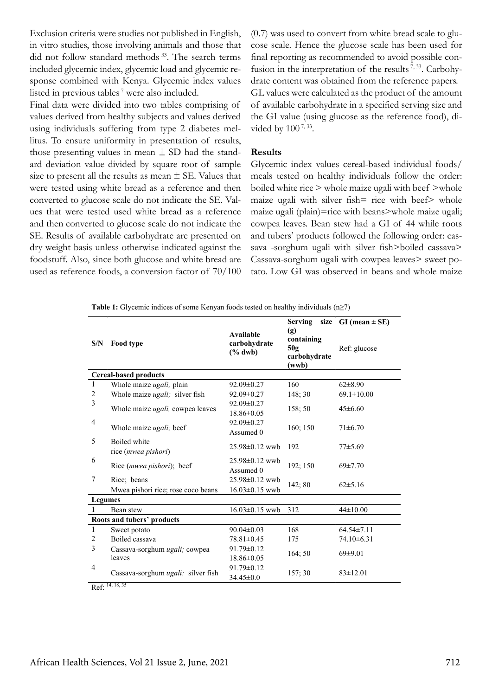Exclusion criteria were studies not published in English, in vitro studies, those involving animals and those that did not follow standard methods <sup>33</sup>. The search terms included glycemic index, glycemic load and glycemic response combined with Kenya. Glycemic index values listed in previous tables<sup>7</sup> were also included.

Final data were divided into two tables comprising of values derived from healthy subjects and values derived using individuals suffering from type 2 diabetes mellitus. To ensure uniformity in presentation of results, those presenting values in mean  $\pm$  SD had the standard deviation value divided by square root of sample size to present all the results as mean  $\pm$  SE. Values that were tested using white bread as a reference and then converted to glucose scale do not indicate the SE. Values that were tested used white bread as a reference and then converted to glucose scale do not indicate the SE. Results of available carbohydrate are presented on dry weight basis unless otherwise indicated against the foodstuff. Also, since both glucose and white bread are used as reference foods, a conversion factor of 70/100 (0.7) was used to convert from white bread scale to glucose scale. Hence the glucose scale has been used for final reporting as recommended to avoid possible confusion in the interpretation of the results<sup>7, 33</sup>. Carbohydrate content was obtained from the reference papers. GL values were calculated as the product of the amount

of available carbohydrate in a specified serving size and the GI value (using glucose as the reference food), divided by 100<sup>7, 33</sup>.

#### **Results**

Glycemic index values cereal-based individual foods/ meals tested on healthy individuals follow the order: boiled white rice > whole maize ugali with beef >whole maize ugali with silver fish= rice with beef> whole maize ugali (plain)=rice with beans>whole maize ugali; cowpea leaves. Bean stew had a GI of 44 while roots and tubers' products followed the following order: cassava -sorghum ugali with silver fish>boiled cassava> Cassava-sorghum ugali with cowpea leaves> sweet potato. Low GI was observed in beans and whole maize

| S/N                          | Food type                                         | <b>Available</b><br>carbohydrate<br>$(\%$ dwb) | Serving<br>(g)<br>containing<br>50g<br>carbohydrate<br>(wwb) | size GI (mean $\pm$ SE)<br>Ref: glucose |  |  |  |
|------------------------------|---------------------------------------------------|------------------------------------------------|--------------------------------------------------------------|-----------------------------------------|--|--|--|
| <b>Cereal-based products</b> |                                                   |                                                |                                                              |                                         |  |  |  |
| 1                            | Whole maize ugali; plain                          | $92.09 \pm 0.27$                               | 160                                                          | $62\pm8.90$                             |  |  |  |
| $\overline{c}$               | Whole maize ugali; silver fish                    | 92.09±0.27                                     | 148:30                                                       | $69.1 \pm 10.00$                        |  |  |  |
| 3                            | Whole maize <i>ugali</i> , cowpea leaves          | $92.09 \pm 0.27$<br>$18.86 \pm 0.05$           | 158;50                                                       | $45 \pm 6.60$                           |  |  |  |
| 4                            | Whole maize ugali; beef                           | $92.09 \pm 0.27$<br>Assumed 0                  | 160; 150                                                     | $71 \pm 6.70$                           |  |  |  |
| 5                            | Boiled white<br>rice (mwea pishori)               | $25.98 \pm 0.12$ wwb                           | 192                                                          | $77 + 5.69$                             |  |  |  |
| 6                            | Rice ( <i>mwea pishori</i> ); beef                | $25.98 \pm 0.12$ wwb<br>Assumed 0              | 192; 150                                                     | 69±7.70                                 |  |  |  |
| 7                            | Rice; beans<br>Mwea pishori rice; rose coco beans | 25.98±0.12 wwb<br>$16.03 \pm 0.15$ wwb         | 142; 80                                                      | $62 \pm 5.16$                           |  |  |  |
| <b>Legumes</b>               |                                                   |                                                |                                                              |                                         |  |  |  |
| $\mathbf{1}$                 | Bean stew                                         | $16.03 \pm 0.15$ wwb                           | 312                                                          | $44\pm10.00$                            |  |  |  |
| Roots and tubers' products   |                                                   |                                                |                                                              |                                         |  |  |  |
| $\mathbf{1}$                 | Sweet potato                                      | $90.04 \pm 0.03$                               | 168                                                          | $64.54 \pm 7.11$                        |  |  |  |
| $\overline{2}$               | Boiled cassava                                    | $78.81 \pm 0.45$                               | 175                                                          | $74.10\pm 6.31$                         |  |  |  |
| 3                            | Cassava-sorghum ugali; cowpea<br>leaves           | $91.79 \pm 0.12$<br>$18.86 \pm 0.05$           | 164:50                                                       | 69±9.01                                 |  |  |  |
| $\overline{4}$               | Cassava-sorghum ugali; silver fish                | $91.79 \pm 0.12$<br>$34.45 \pm 0.0$            | 157:30                                                       | $83 \pm 12.01$                          |  |  |  |

**Table 1:** Glycemic indices of some Kenyan foods tested on healthy individuals (n≥7)

Ref: 14, 18, <sup>35</sup>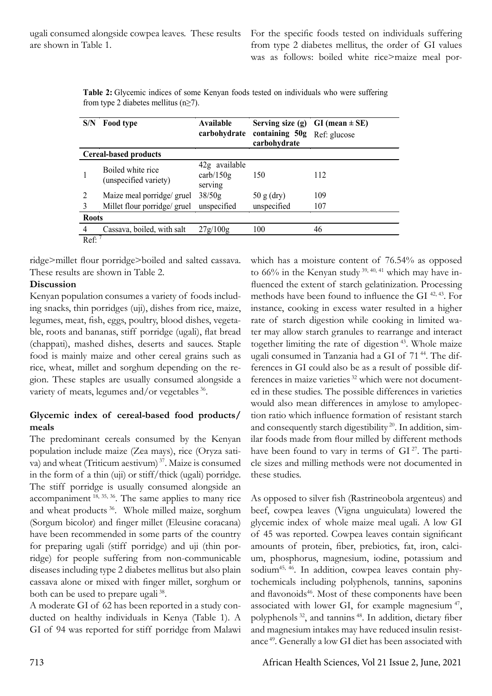For the specific foods tested on individuals suffering from type 2 diabetes mellitus, the order of GI values was as follows: boiled white rice>maize meal por-

| S/N                          | Food type                                  | Available<br>carbohydrate                             | Serving size $(g)$<br>containing 50g<br>carbohydrate | $GI$ (mean $\pm$ SE)<br>Ref: glucose |  |  |  |
|------------------------------|--------------------------------------------|-------------------------------------------------------|------------------------------------------------------|--------------------------------------|--|--|--|
| <b>Cereal-based products</b> |                                            |                                                       |                                                      |                                      |  |  |  |
|                              | Boiled white rice<br>(unspecified variety) | 42g available<br>$\text{carb}/150\text{g}$<br>serving | 150                                                  | 112                                  |  |  |  |
| 2                            | Maize meal porridge/ gruel                 | 38/50g                                                | $50 g$ (dry)                                         | 109                                  |  |  |  |
|                              | Millet flour porridge/ gruel               | unspecified                                           | unspecified                                          | 107                                  |  |  |  |
| <b>Roots</b>                 |                                            |                                                       |                                                      |                                      |  |  |  |
| 4                            | Cassava, boiled, with salt                 | 27g/100g                                              | 100                                                  | 46                                   |  |  |  |
| Ref:                         |                                            |                                                       |                                                      |                                      |  |  |  |

**Table 2:** Glycemic indices of some Kenyan foods tested on individuals who were suffering from type 2 diabetes mellitus  $(n \ge 7)$ .

ridge>millet flour porridge>boiled and salted cassava. These results are shown in Table 2.

## **Discussion**

Kenyan population consumes a variety of foods including snacks, thin porridges (uji), dishes from rice, maize, legumes, meat, fish, eggs, poultry, blood dishes, vegetable, roots and bananas, stiff porridge (ugali), flat bread (chappati), mashed dishes, deserts and sauces. Staple food is mainly maize and other cereal grains such as rice, wheat, millet and sorghum depending on the region. These staples are usually consumed alongside a variety of meats, legumes and/or vegetables <sup>36</sup>.

## **Glycemic index of cereal-based food products/ meals**

The predominant cereals consumed by the Kenyan population include maize (Zea mays), rice (Oryza sativa) and wheat (Triticum aestivum)<sup>37</sup>. Maize is consumed in the form of a thin (uji) or stiff/thick (ugali) porridge. The stiff porridge is usually consumed alongside an accompaniment  $^{18, 35, 36}$ . The same applies to many rice and wheat products 36. Whole milled maize, sorghum (Sorgum bicolor) and finger millet (Eleusine coracana) have been recommended in some parts of the country for preparing ugali (stiff porridge) and uji (thin porridge) for people suffering from non-communicable diseases including type 2 diabetes mellitus but also plain cassava alone or mixed with finger millet, sorghum or both can be used to prepare ugali<sup>38</sup>.

A moderate GI of 62 has been reported in a study conducted on healthy individuals in Kenya (Table 1). A GI of 94 was reported for stiff porridge from Malawi

which has a moisture content of 76.54% as opposed to  $66\%$  in the Kenyan study  $39, 40, 41$  which may have influenced the extent of starch gelatinization. Processing methods have been found to influence the GI 42, 43. For instance, cooking in excess water resulted in a higher rate of starch digestion while cooking in limited water may allow starch granules to rearrange and interact together limiting the rate of digestion 43. Whole maize ugali consumed in Tanzania had a GI of 71 44. The differences in GI could also be as a result of possible differences in maize varieties 32 which were not documented in these studies. The possible differences in varieties would also mean differences in amylose to amylopection ratio which influence formation of resistant starch and consequently starch digestibility<sup>20</sup>. In addition, similar foods made from flour milled by different methods have been found to vary in terms of  $GI^{27}$ . The particle sizes and milling methods were not documented in these studies.

As opposed to silver fish (Rastrineobola argenteus) and beef, cowpea leaves (Vigna unguiculata) lowered the glycemic index of whole maize meal ugali. A low GI of 45 was reported. Cowpea leaves contain significant amounts of protein, fiber, prebiotics, fat, iron, calcium, phosphorus, magnesium, iodine, potassium and sodium<sup>45, 46</sup>. In addition, cowpea leaves contain phytochemicals including polyphenols, tannins, saponins and flavonoids<sup>46</sup>. Most of these components have been associated with lower GI, for example magnesium  $47$ , polyphenols 32, and tannins 48. In addition, dietary fiber and magnesium intakes may have reduced insulin resistance 49. Generally a low GI diet has been associated with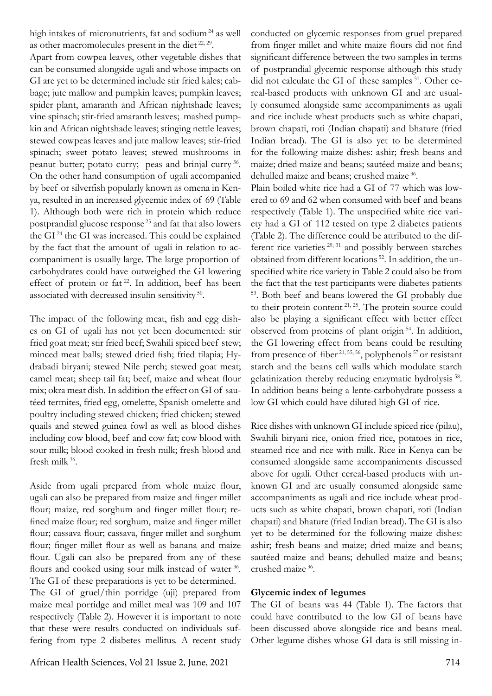high intakes of micronutrients, fat and sodium<sup>24</sup> as well as other macromolecules present in the diet 22, 29.

Apart from cowpea leaves, other vegetable dishes that can be consumed alongside ugali and whose impacts on GI are yet to be determined include stir fried kales; cabbage; jute mallow and pumpkin leaves; pumpkin leaves; spider plant, amaranth and African nightshade leaves; vine spinach; stir-fried amaranth leaves; mashed pumpkin and African nightshade leaves; stinging nettle leaves; stewed cowpeas leaves and jute mallow leaves; stir-fried spinach; sweet potato leaves; stewed mushrooms in peanut butter; potato curry; peas and brinjal curry 36. On the other hand consumption of ugali accompanied by beef or silverfish popularly known as omena in Kenya, resulted in an increased glycemic index of 69 (Table 1). Although both were rich in protein which reduce postprandial glucose response 25 and fat that also lowers the GI 24 the GI was increased. This could be explained by the fact that the amount of ugali in relation to accompaniment is usually large. The large proportion of carbohydrates could have outweighed the GI lowering effect of protein or fat<sup>22</sup>. In addition, beef has been associated with decreased insulin sensitivity 50.

The impact of the following meat, fish and egg dishes on GI of ugali has not yet been documented: stir fried goat meat; stir fried beef; Swahili spiced beef stew; minced meat balls; stewed dried fish; fried tilapia; Hydrabadi biryani; stewed Nile perch; stewed goat meat; camel meat; sheep tail fat; beef, maize and wheat flour mix; okra meat dish. In addition the effect on GI of sautéed termites, fried egg, omelette, Spanish omelette and poultry including stewed chicken; fried chicken; stewed quails and stewed guinea fowl as well as blood dishes including cow blood, beef and cow fat; cow blood with sour milk; blood cooked in fresh milk; fresh blood and fresh milk 36.

Aside from ugali prepared from whole maize flour, ugali can also be prepared from maize and finger millet flour; maize, red sorghum and finger millet flour; refined maize flour; red sorghum, maize and finger millet flour; cassava flour; cassava, finger millet and sorghum flour; finger millet flour as well as banana and maize flour. Ugali can also be prepared from any of these flours and cooked using sour milk instead of water 36. The GI of these preparations is yet to be determined.

The GI of gruel/thin porridge (uji) prepared from maize meal porridge and millet meal was 109 and 107 respectively (Table 2). However it is important to note that these were results conducted on individuals suffering from type 2 diabetes mellitus. A recent study conducted on glycemic responses from gruel prepared from finger millet and white maize flours did not find significant difference between the two samples in terms of postprandial glycemic response although this study did not calculate the GI of these samples <sup>51</sup>. Other cereal-based products with unknown GI and are usually consumed alongside same accompaniments as ugali and rice include wheat products such as white chapati, brown chapati, roti (Indian chapati) and bhature (fried Indian bread). The GI is also yet to be determined for the following maize dishes: ashir; fresh beans and maize; dried maize and beans; sautéed maize and beans; dehulled maize and beans; crushed maize 36.

Plain boiled white rice had a GI of 77 which was lowered to 69 and 62 when consumed with beef and beans respectively (Table 1). The unspecified white rice variety had a GI of 112 tested on type 2 diabetes patients (Table 2). The difference could be attributed to the different rice varieties 29, 31 and possibly between starches obtained from different locations 52. In addition, the unspecified white rice variety in Table 2 could also be from the fact that the test participants were diabetes patients 53. Both beef and beans lowered the GI probably due to their protein content  $2^{1, 25}$ . The protein source could also be playing a significant effect with better effect observed from proteins of plant origin 54. In addition, the GI lowering effect from beans could be resulting from presence of fiber  $21,55,56$ , polyphenols<sup>57</sup> or resistant starch and the beans cell walls which modulate starch gelatinization thereby reducing enzymatic hydrolysis 58. In addition beans being a lente-carbohydrate possess a low GI which could have diluted high GI of rice.

Rice dishes with unknown GI include spiced rice (pilau), Swahili biryani rice, onion fried rice, potatoes in rice, steamed rice and rice with milk. Rice in Kenya can be consumed alongside same accompaniments discussed above for ugali. Other cereal-based products with unknown GI and are usually consumed alongside same accompaniments as ugali and rice include wheat products such as white chapati, brown chapati, roti (Indian chapati) and bhature (fried Indian bread). The GI is also yet to be determined for the following maize dishes: ashir; fresh beans and maize; dried maize and beans; sautéed maize and beans; dehulled maize and beans; crushed maize 36.

### **Glycemic index of legumes**

The GI of beans was 44 (Table 1). The factors that could have contributed to the low GI of beans have been discussed above alongside rice and beans meal. Other legume dishes whose GI data is still missing in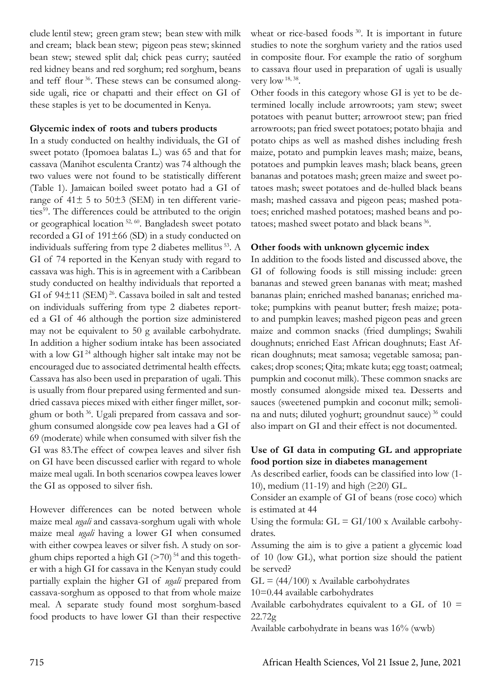clude lentil stew; green gram stew; bean stew with milk and cream; black bean stew; pigeon peas stew; skinned bean stew; stewed split dal; chick peas curry; sautéed red kidney beans and red sorghum; red sorghum, beans and teff flour 36. These stews can be consumed alongside ugali, rice or chapatti and their effect on GI of these staples is yet to be documented in Kenya.

### **Glycemic index of roots and tubers products**

In a study conducted on healthy individuals, the GI of sweet potato (Ipomoea balatas L.) was 65 and that for cassava (Manihot esculenta Crantz) was 74 although the two values were not found to be statistically different (Table 1). Jamaican boiled sweet potato had a GI of range of  $41\pm 5$  to  $50\pm 3$  (SEM) in ten different varieties<sup>59</sup>. The differences could be attributed to the origin or geographical location 52, 60. Bangladesh sweet potato recorded a GI of 191±66 (SD) in a study conducted on individuals suffering from type 2 diabetes mellitus 53. A GI of 74 reported in the Kenyan study with regard to cassava was high. This is in agreement with a Caribbean study conducted on healthy individuals that reported a GI of 94 $\pm$ 11 (SEM)<sup>26</sup>. Cassava boiled in salt and tested on individuals suffering from type 2 diabetes reported a GI of 46 although the portion size administered may not be equivalent to 50 g available carbohydrate. In addition a higher sodium intake has been associated with a low GI<sup>24</sup> although higher salt intake may not be encouraged due to associated detrimental health effects. Cassava has also been used in preparation of ugali. This is usually from flour prepared using fermented and sundried cassava pieces mixed with either finger millet, sorghum or both 36. Ugali prepared from cassava and sorghum consumed alongside cow pea leaves had a GI of 69 (moderate) while when consumed with silver fish the GI was 83.The effect of cowpea leaves and silver fish on GI have been discussed earlier with regard to whole maize meal ugali. In both scenarios cowpea leaves lower the GI as opposed to silver fish.

However differences can be noted between whole maize meal *ugali* and cassava-sorghum ugali with whole maize meal *ugali* having a lower GI when consumed with either cowpea leaves or silver fish. A study on sorghum chips reported a high GI  $($ >70)<sup>54</sup> and this together with a high GI for cassava in the Kenyan study could partially explain the higher GI of *ugali* prepared from cassava-sorghum as opposed to that from whole maize meal. A separate study found most sorghum-based food products to have lower GI than their respective wheat or rice-based foods <sup>30</sup>. It is important in future studies to note the sorghum variety and the ratios used in composite flour. For example the ratio of sorghum to cassava flour used in preparation of ugali is usually very  $\text{low}$  <sup>18, 38</sup>.

Other foods in this category whose GI is yet to be determined locally include arrowroots; yam stew; sweet potatoes with peanut butter; arrowroot stew; pan fried arrowroots; pan fried sweet potatoes; potato bhajia and potato chips as well as mashed dishes including fresh maize, potato and pumpkin leaves mash; maize, beans, potatoes and pumpkin leaves mash; black beans, green bananas and potatoes mash; green maize and sweet potatoes mash; sweet potatoes and de-hulled black beans mash; mashed cassava and pigeon peas; mashed potatoes; enriched mashed potatoes; mashed beans and potatoes; mashed sweet potato and black beans 36.

## **Other foods with unknown glycemic index**

In addition to the foods listed and discussed above, the GI of following foods is still missing include: green bananas and stewed green bananas with meat; mashed bananas plain; enriched mashed bananas; enriched matoke; pumpkins with peanut butter; fresh maize; potato and pumpkin leaves; mashed pigeon peas and green maize and common snacks (fried dumplings; Swahili doughnuts; enriched East African doughnuts; East African doughnuts; meat samosa; vegetable samosa; pancakes; drop scones; Qita; mkate kuta; egg toast; oatmeal; pumpkin and coconut milk). These common snacks are mostly consumed alongside mixed tea. Desserts and sauces (sweetened pumpkin and coconut milk; semolina and nuts; diluted yoghurt; groundnut sauce) 36 could also impart on GI and their effect is not documented.

## **Use of GI data in computing GL and appropriate food portion size in diabetes management**

As described earlier, foods can be classified into low (1- 10), medium (11-19) and high (≥20) GL.

Consider an example of GI of beans (rose coco) which is estimated at 44

Using the formula:  $GL = GI/100 \times \text{Available carbohydrate}$ drates.

Assuming the aim is to give a patient a glycemic load of 10 (low GL), what portion size should the patient be served?

 $GL = (44/100)$  x Available carbohydrates

10=0.44 available carbohydrates

Available carbohydrates equivalent to a GL of  $10 =$ 22.72g

Available carbohydrate in beans was 16% (wwb)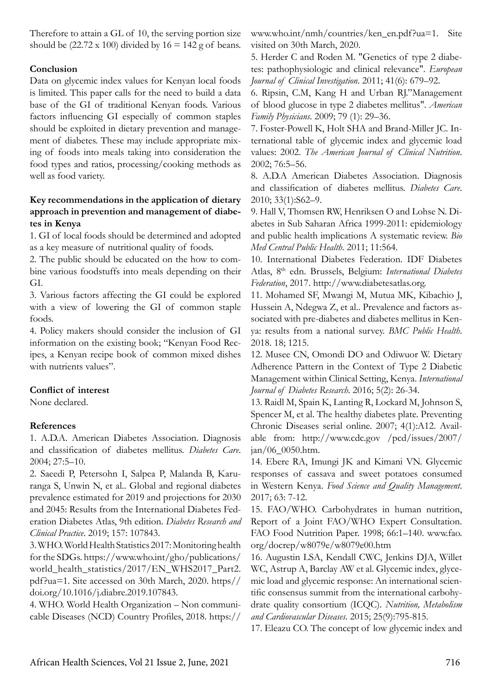Therefore to attain a GL of 10, the serving portion size should be  $(22.72 \times 100)$  divided by  $16 = 142$  g of beans.

## **Conclusion**

Data on glycemic index values for Kenyan local foods is limited. This paper calls for the need to build a data base of the GI of traditional Kenyan foods. Various factors influencing GI especially of common staples should be exploited in dietary prevention and management of diabetes. These may include appropriate mixing of foods into meals taking into consideration the food types and ratios, processing/cooking methods as well as food variety.

## **Key recommendations in the application of dietary approach in prevention and management of diabetes in Kenya**

1. GI of local foods should be determined and adopted as a key measure of nutritional quality of foods.

2. The public should be educated on the how to combine various foodstuffs into meals depending on their GI.

3. Various factors affecting the GI could be explored with a view of lowering the GI of common staple foods.

4. Policy makers should consider the inclusion of GI information on the existing book; "Kenyan Food Recipes, a Kenyan recipe book of common mixed dishes with nutrients values".

### **Conflict of interest**

None declared.

## **References**

1. A.D.A. American Diabetes Association. Diagnosis and classification of diabetes mellitus. *Diabetes Care*. 2004; 27:5–10.

2. Saeedi P, Petersohn I, Salpea P, Malanda B, Karuranga S, Unwin N, et al.. Global and regional diabetes prevalence estimated for 2019 and projections for 2030 and 2045: Results from the International Diabetes Federation Diabetes Atlas, 9th edition. *Diabetes Research and Clinical Practice*. 2019; 157: 107843.

3. WHO. World Health Statistics 2017: Monitoring health for the SDGs. https://www.who.int/gho/publications/ world\_health\_statistics/2017/EN\_WHS2017\_Part2. pdf?ua=1. Site accessed on 30th March, 2020. https// doi.org/10.1016/j.diabre.2019.107843.

4. WHO. World Health Organization – Non communicable Diseases (NCD) Country Profiles, 2018. https://

www.who.int/nmh/countries/ken\_en.pdf?ua=1. Site visited on 30th March, 2020.

5. Herder C and Roden M. "Genetics of type 2 diabetes: pathophysiologic and clinical relevance". *European Journal of Clinical Investigation*. 2011; 41(6): 679–92.

6. Ripsin, C.M, Kang H and Urban RJ."Management of blood glucose in type 2 diabetes mellitus". *American Family Physicians*. 2009; 79 (1): 29–36.

7. Foster-Powell K, Holt SHA and Brand-Miller JC. International table of glycemic index and glycemic load values: 2002. *The American Journal of Clinical Nutrition*. 2002; 76:5–56.

8. A.D.A American Diabetes Association. Diagnosis and classification of diabetes mellitus. *Diabetes Care*. 2010; 33(1):S62–9.

9. Hall V, Thomsen RW, Henriksen O and Lohse N. Diabetes in Sub Saharan Africa 1999-2011: epidemiology and public health implications A systematic review. *Bio Med Central Public Health*. 2011; 11:564.

10. International Diabetes Federation. IDF Diabetes Atlas, 8th edn. Brussels, Belgium: *International Diabetes Federation*, 2017. http://www.diabetesatlas.org.

11. Mohamed SF, Mwangi M, Mutua MK, Kibachio J, Hussein A, Ndegwa Z, et al.. Prevalence and factors associated with pre-diabetes and diabetes mellitus in Kenya: results from a national survey. *BMC Public Health*. 2018. 18; 1215.

12. Musee CN, Omondi DO and Odiwuor W. Dietary Adherence Pattern in the Context of Type 2 Diabetic Management within Clinical Setting, Kenya. *International Journal of Diabetes Research*. 2016; 5(2): 26-34.

13. Raidl M, Spain K, Lanting R, Lockard M, Johnson S, Spencer M, et al. The healthy diabetes plate. Preventing Chronic Diseases serial online. 2007; 4(1):A12. Available from: http://www.cdc.gov /pcd/issues/2007/ jan/06\_0050.htm.

14. Ebere RA, Imungi JK and Kimani VN. Glycemic responses of cassava and sweet potatoes consumed in Western Kenya. *Food Science and Quality Management*. 2017; 63: 7-12.

15. FAO/WHO. Carbohydrates in human nutrition, Report of a Joint FAO/WHO Expert Consultation. FAO Food Nutrition Paper. 1998; 66:1–140. www.fao. org/docrep/w8079e/w8079e00.htm

16. Augustin LSA, Kendall CWC, Jenkins DJA, Willet WC, Astrup A, Barclay AW et al. Glycemic index, glycemic load and glycemic response: An international scientific consensus summit from the international carbohydrate quality consortium (ICQC). *Nutrition, Metabolism and Cardiovascular Diseases*. 2015; 25(9):795-815.

17. Eleazu CO. The concept of low glycemic index and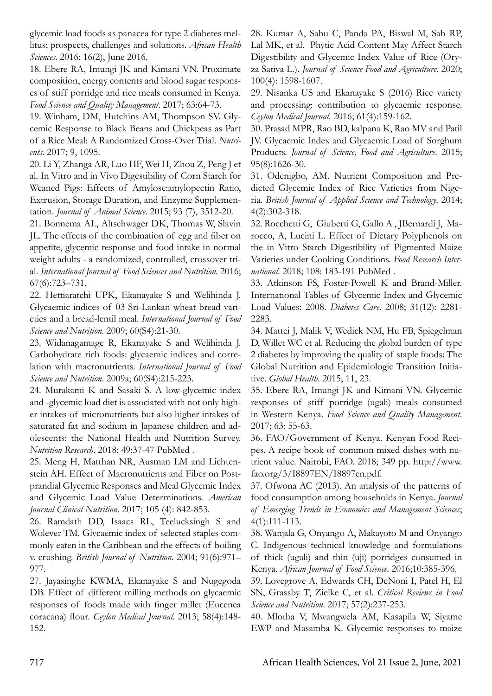glycemic load foods as panacea for type 2 diabetes mellitus; prospects, challenges and solutions. *African Health Sciences*. 2016; 16(2), June 2016.

18. Ebere RA, Imungi JK and Kimani VN. Proximate composition, energy contents and blood sugar responses of stiff porridge and rice meals consumed in Kenya. *Food Science and Quality Management*. 2017; 63:64-73.

19. Winham, DM, Hutchins AM, Thompson SV. Glycemic Response to Black Beans and Chickpeas as Part of a Rice Meal: A Randomized Cross-Over Trial. *Nutrients*. 2017; 9, 1095.

20. Li Y, Zhanga AR, Luo HF, Wei H, Zhou Z, Peng J et al. In Vitro and in Vivo Digestibility of Corn Starch for Weaned Pigs: Effects of Amylose:amylopectin Ratio, Extrusion, Storage Duration, and Enzyme Supplementation. *Journal of Animal Science*. 2015; 93 (7), 3512-20.

21. Bonnema AL, Altschwager DK, Thomas W, Slavin JL. The effects of the combination of egg and fiber on appetite, glycemic response and food intake in normal weight adults - a randomized, controlled, crossover trial. *International Journal of Food Sciences and Nutrition*. 2016; 67(6):723–731.

22. Hettiaratchi UPK, Ekanayake S and Welihinda J. Glycaemic indices of 03 Sri-Lankan wheat bread varieties and a bread-lentil meal. *International Journal of Food Science and Nutrition*. 2009; 60(S4):21-30.

23. Widanagamage R, Ekanayake S and Welihinda J. Carbohydrate rich foods: glycaemic indices and correlation with macronutrients. *International Journal of Food Science and Nutrition*. 2009a; 60(S4):215-223.

24. Murakami K and Sasaki S. A low-glycemic index and -glycemic load diet is associated with not only higher intakes of micronutrients but also higher intakes of saturated fat and sodium in Japanese children and adolescents: the National Health and Nutrition Survey. *Nutrition Research*. 2018; 49:37-47 PubMed .

25. Meng H, Matthan NR, Ausman LM and Lichtenstein AH. Effect of Macronutrients and Fiber on Postprandial Glycemic Responses and Meal Glycemic Index and Glycemic Load Value Determinations. *American Journal Clinical Nutrition*. 2017; 105 (4): 842-853.

26. Ramdath DD, Isaacs RL, Teelucksingh S and Wolever TM. Glycaemic index of selected staples commonly eaten in the Caribbean and the effects of boiling v. crushing. *British Journal of Nutrition*. 2004; 91(6):971– 977.

27. Jayasinghe KWMA, Ekanayake S and Nugegoda DB. Effect of different milling methods on glycaemic responses of foods made with finger millet (Eucenea coracana) flour. *Ceylon Medical Journal*. 2013; 58(4):148- 152.

28. Kumar A, Sahu C, Panda PA, Biswal M, Sah RP, Lal MK, et al. Phytic Acid Content May Affect Starch Digestibility and Glycemic Index Value of Rice (Oryza Sativa L.). *Journal of Science Food and Agriculture*. 2020; 100(4): 1598-1607.

29. Nisanka US and Ekanayake S (2016) Rice variety and processing: contribution to glycaemic response. *Ceylon Medical Journal*. 2016; 61(4):159-162.

30. Prasad MPR, Rao BD, kalpana K, Rao MV and Patil JV. Glycaemic Index and Glycaemic Load of Sorghum Products. *Journal of Science, Food and Agriculture*. 2015; 95(8):1626-30.

31. Odenigbo, AM. Nutrient Composition and Predicted Glycemic Index of Rice Varieties from Nigeria. *British Journal of Applied Science and Technology*. 2014; 4(2):302-318.

32. Rocchetti G, Giuberti G, Gallo A , JBernardi J, Marocco, A, Lucini L. Effect of Dietary Polyphenols on the in Vitro Starch Digestibility of Pigmented Maize Varieties under Cooking Conditions. *Food Research International*. 2018; 108: 183-191 PubMed .

33. Atkinson FS, Foster-Powell K and Brand-Miller. International Tables of Glycemic Index and Glycemic Load Values: 2008. *Diabetes Care*. 2008; 31(12): 2281- 2283.

34. Mattei J, Malik V, Wedick NM, Hu FB, Spiegelman D, Willet WC et al. Reducing the global burden of type 2 diabetes by improving the quality of staple foods: The Global Nutrition and Epidemiologic Transition Initiative. *Global Health*. 2015; 11, 23.

35. Ebere RA, Imungi JK and Kimani VN. Glycemic responses of stiff porridge (ugali) meals consumed in Western Kenya. *Food Science and Quality Management*. 2017; 63: 55-63.

36. FAO/Government of Kenya. Kenyan Food Recipes. A recipe book of common mixed dishes with nutrient value. Nairobi, FAO. 2018; 349 pp. http://www. fao.org/3/I8897EN/I8897en.pdf.

37. Ofwona AC (2013). An analysis of the patterns of food consumption among households in Kenya. *Journal of Emerging Trends in Economics and Management Sciences*; 4(1):111-113.

38. Wanjala G, Onyango A, Makayoto M and Onyango C. Indigenous technical knowledge and formulations of thick (ugali) and thin (uji) porridges consumed in Kenya. *African Journal of Food Science*. 2016;10:385-396.

39. Lovegrove A, Edwards CH, DeNoni I, Patel H, El SN, Grassby T, Zielke C, et al. *Critical Reviews in Food Science and Nutrition*. 2017; 57(2):237-253.

40. Mlotha V, Mwangwela AM, Kasapila W, Siyame EWP and Masamba K. Glycemic responses to maize